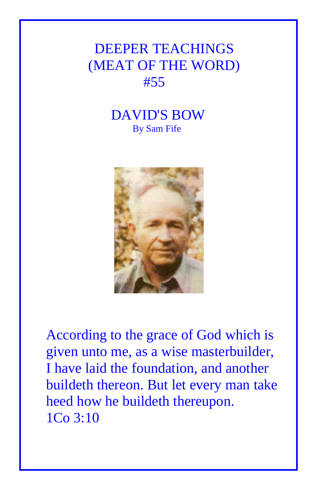## DEEPER TEACHINGS (MEAT OF THE WORD) #55

## DAVID'S BOW By Sam Fife



According to the grace of God which is given unto me, as a wise masterbuilder, I have laid the foundation, and another buildeth thereon. But let every man take heed how he buildeth thereupon. 1Co 3:10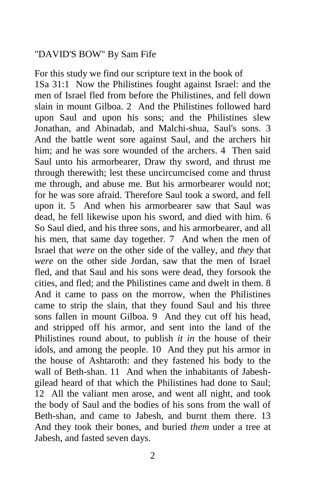## "DAVID'S BOW" By Sam Fife

For this study we find our scripture text in the book of 1Sa 31:1 Now the Philistines fought against Israel: and the men of Israel fled from before the Philistines, and fell down slain in mount Gilboa. 2 And the Philistines followed hard upon Saul and upon his sons; and the Philistines slew Jonathan, and Abinadab, and Malchi-shua, Saul's sons. 3 And the battle went sore against Saul, and the archers hit him; and he was sore wounded of the archers. 4 Then said Saul unto his armorbearer, Draw thy sword, and thrust me through therewith; lest these uncircumcised come and thrust me through, and abuse me. But his armorbearer would not; for he was sore afraid. Therefore Saul took a sword, and fell upon it. 5 And when his armorbearer saw that Saul was dead, he fell likewise upon his sword, and died with him. 6 So Saul died, and his three sons, and his armorbearer, and all his men, that same day together. 7 And when the men of Israel that *were* on the other side of the valley, and *they* that *were* on the other side Jordan, saw that the men of Israel fled, and that Saul and his sons were dead, they forsook the cities, and fled; and the Philistines came and dwelt in them. 8 And it came to pass on the morrow, when the Philistines came to strip the slain, that they found Saul and his three sons fallen in mount Gilboa. 9 And they cut off his head, and stripped off his armor, and sent into the land of the Philistines round about, to publish *it in* the house of their idols, and among the people. 10 And they put his armor in the house of Ashtaroth: and they fastened his body to the wall of Beth-shan. 11 And when the inhabitants of Jabeshgilead heard of that which the Philistines had done to Saul; 12 All the valiant men arose, and went all night, and took the body of Saul and the bodies of his sons from the wall of Beth-shan, and came to Jabesh, and burnt them there. 13 And they took their bones, and buried *them* under a tree at Jabesh, and fasted seven days.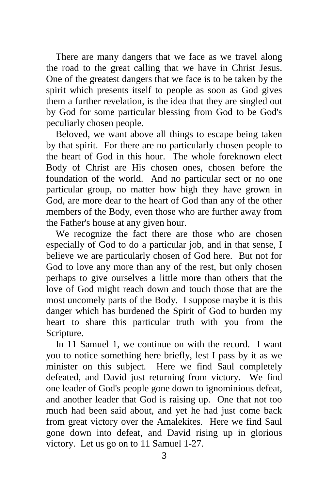There are many dangers that we face as we travel along the road to the great calling that we have in Christ Jesus. One of the greatest dangers that we face is to be taken by the spirit which presents itself to people as soon as God gives them a further revelation, is the idea that they are singled out by God for some particular blessing from God to be God's peculiarly chosen people.

 Beloved, we want above all things to escape being taken by that spirit. For there are no particularly chosen people to the heart of God in this hour. The whole foreknown elect Body of Christ are His chosen ones, chosen before the foundation of the world. And no particular sect or no one particular group, no matter how high they have grown in God, are more dear to the heart of God than any of the other members of the Body, even those who are further away from the Father's house at any given hour.

 We recognize the fact there are those who are chosen especially of God to do a particular job, and in that sense, I believe we are particularly chosen of God here. But not for God to love any more than any of the rest, but only chosen perhaps to give ourselves a little more than others that the love of God might reach down and touch those that are the most uncomely parts of the Body. I suppose maybe it is this danger which has burdened the Spirit of God to burden my heart to share this particular truth with you from the Scripture.

 In 11 Samuel 1, we continue on with the record. I want you to notice something here briefly, lest I pass by it as we minister on this subject. Here we find Saul completely defeated, and David just returning from victory. We find one leader of God's people gone down to ignominious defeat, and another leader that God is raising up. One that not too much had been said about, and yet he had just come back from great victory over the Amalekites. Here we find Saul gone down into defeat, and David rising up in glorious victory. Let us go on to 11 Samuel 1-27.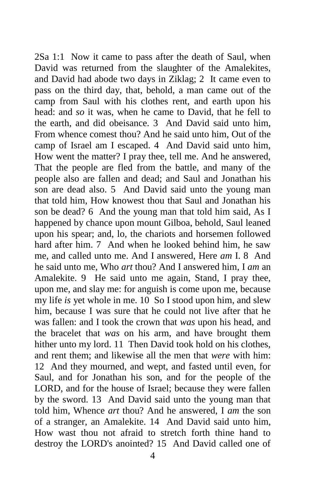2Sa 1:1 Now it came to pass after the death of Saul, when David was returned from the slaughter of the Amalekites, and David had abode two days in Ziklag; 2 It came even to pass on the third day, that, behold, a man came out of the camp from Saul with his clothes rent, and earth upon his head: and *so* it was, when he came to David, that he fell to the earth, and did obeisance. 3 And David said unto him, From whence comest thou? And he said unto him, Out of the camp of Israel am I escaped. 4 And David said unto him, How went the matter? I pray thee, tell me. And he answered, That the people are fled from the battle, and many of the people also are fallen and dead; and Saul and Jonathan his son are dead also. 5 And David said unto the young man that told him, How knowest thou that Saul and Jonathan his son be dead? 6 And the young man that told him said, As I happened by chance upon mount Gilboa, behold, Saul leaned upon his spear; and, lo, the chariots and horsemen followed hard after him. 7 And when he looked behind him, he saw me, and called unto me. And I answered, Here *am* I. 8 And he said unto me, Who *art* thou? And I answered him, I *am* an Amalekite. 9 He said unto me again, Stand, I pray thee, upon me, and slay me: for anguish is come upon me, because my life *is* yet whole in me. 10 So I stood upon him, and slew him, because I was sure that he could not live after that he was fallen: and I took the crown that *was* upon his head, and the bracelet that *was* on his arm, and have brought them hither unto my lord. 11 Then David took hold on his clothes, and rent them; and likewise all the men that *were* with him: 12 And they mourned, and wept, and fasted until even, for Saul, and for Jonathan his son, and for the people of the LORD, and for the house of Israel; because they were fallen by the sword. 13 And David said unto the young man that told him, Whence *art* thou? And he answered, I *am* the son of a stranger, an Amalekite. 14 And David said unto him, How wast thou not afraid to stretch forth thine hand to destroy the LORD's anointed? 15 And David called one of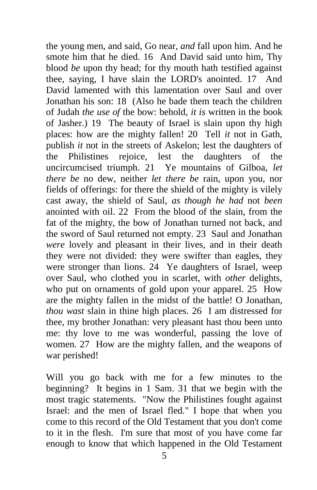the young men, and said, Go near, *and* fall upon him. And he smote him that he died. 16 And David said unto him, Thy blood *be* upon thy head; for thy mouth hath testified against thee, saying, I have slain the LORD's anointed. 17 And David lamented with this lamentation over Saul and over Jonathan his son: 18 (Also he bade them teach the children of Judah *the use of* the bow: behold, *it is* written in the book of Jasher.) 19 The beauty of Israel is slain upon thy high places: how are the mighty fallen! 20 Tell *it* not in Gath, publish *it* not in the streets of Askelon; lest the daughters of the Philistines rejoice, lest the daughters of the uncircumcised triumph. 21 Ye mountains of Gilboa, *let there be* no dew, neither *let there be* rain, upon you, nor fields of offerings: for there the shield of the mighty is vilely cast away, the shield of Saul, *as though he had* not *been* anointed with oil. 22 From the blood of the slain, from the fat of the mighty, the bow of Jonathan turned not back, and the sword of Saul returned not empty. 23 Saul and Jonathan *were* lovely and pleasant in their lives, and in their death they were not divided: they were swifter than eagles, they were stronger than lions. 24 Ye daughters of Israel, weep over Saul, who clothed you in scarlet, with *other* delights, who put on ornaments of gold upon your apparel. 25 How are the mighty fallen in the midst of the battle! O Jonathan, *thou wast* slain in thine high places. 26 I am distressed for thee, my brother Jonathan: very pleasant hast thou been unto me: thy love to me was wonderful, passing the love of women. 27 How are the mighty fallen, and the weapons of war perished!

Will you go back with me for a few minutes to the beginning? It begins in 1 Sam. 31 that we begin with the most tragic statements. "Now the Philistines fought against Israel: and the men of Israel fled." I hope that when you come to this record of the Old Testament that you don't come to it in the flesh. I'm sure that most of you have come far enough to know that which happened in the Old Testament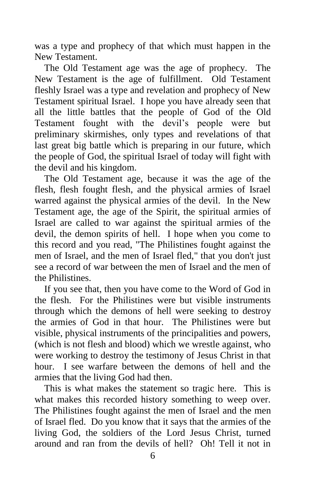was a type and prophecy of that which must happen in the New Testament.

 The Old Testament age was the age of prophecy. The New Testament is the age of fulfillment. Old Testament fleshly Israel was a type and revelation and prophecy of New Testament spiritual Israel. I hope you have already seen that all the little battles that the people of God of the Old Testament fought with the devil's people were but preliminary skirmishes, only types and revelations of that last great big battle which is preparing in our future, which the people of God, the spiritual Israel of today will fight with the devil and his kingdom.

 The Old Testament age, because it was the age of the flesh, flesh fought flesh, and the physical armies of Israel warred against the physical armies of the devil. In the New Testament age, the age of the Spirit, the spiritual armies of Israel are called to war against the spiritual armies of the devil, the demon spirits of hell. I hope when you come to this record and you read, "The Philistines fought against the men of Israel, and the men of Israel fled," that you don't just see a record of war between the men of Israel and the men of the Philistines.

 If you see that, then you have come to the Word of God in the flesh. For the Philistines were but visible instruments through which the demons of hell were seeking to destroy the armies of God in that hour. The Philistines were but visible, physical instruments of the principalities and powers, (which is not flesh and blood) which we wrestle against, who were working to destroy the testimony of Jesus Christ in that hour. I see warfare between the demons of hell and the armies that the living God had then.

 This is what makes the statement so tragic here. This is what makes this recorded history something to weep over. The Philistines fought against the men of Israel and the men of Israel fled. Do you know that it says that the armies of the living God, the soldiers of the Lord Jesus Christ, turned around and ran from the devils of hell? Oh! Tell it not in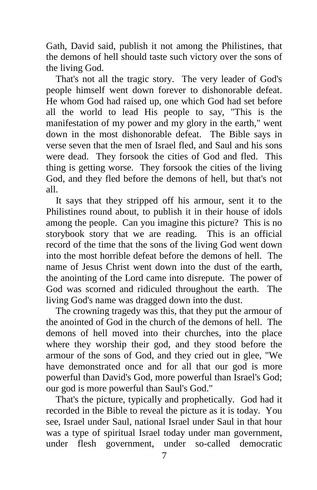Gath, David said, publish it not among the Philistines, that the demons of hell should taste such victory over the sons of the living God.

 That's not all the tragic story. The very leader of God's people himself went down forever to dishonorable defeat. He whom God had raised up, one which God had set before all the world to lead His people to say, "This is the manifestation of my power and my glory in the earth," went down in the most dishonorable defeat. The Bible says in verse seven that the men of Israel fled, and Saul and his sons were dead. They forsook the cities of God and fled. This thing is getting worse. They forsook the cities of the living God, and they fled before the demons of hell, but that's not all.

 It says that they stripped off his armour, sent it to the Philistines round about, to publish it in their house of idols among the people. Can you imagine this picture? This is no storybook story that we are reading. This is an official record of the time that the sons of the living God went down into the most horrible defeat before the demons of hell. The name of Jesus Christ went down into the dust of the earth, the anointing of the Lord came into disrepute. The power of God was scorned and ridiculed throughout the earth. The living God's name was dragged down into the dust.

 The crowning tragedy was this, that they put the armour of the anointed of God in the church of the demons of hell. The demons of hell moved into their churches, into the place where they worship their god, and they stood before the armour of the sons of God, and they cried out in glee, "We have demonstrated once and for all that our god is more powerful than David's God, more powerful than Israel's God; our god is more powerful than Saul's God."

 That's the picture, typically and prophetically. God had it recorded in the Bible to reveal the picture as it is today. You see, Israel under Saul, national Israel under Saul in that hour was a type of spiritual Israel today under man government, under flesh government, under so-called democratic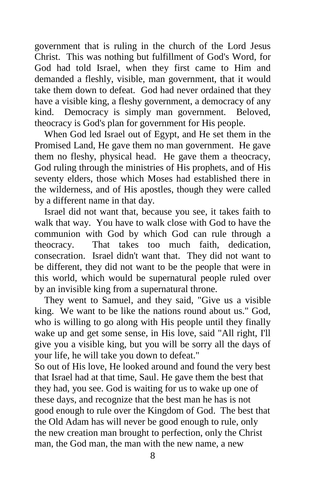government that is ruling in the church of the Lord Jesus Christ. This was nothing but fulfillment of God's Word, for God had told Israel, when they first came to Him and demanded a fleshly, visible, man government, that it would take them down to defeat. God had never ordained that they have a visible king, a fleshy government, a democracy of any kind. Democracy is simply man government. Beloved, theocracy is God's plan for government for His people.

 When God led Israel out of Egypt, and He set them in the Promised Land, He gave them no man government. He gave them no fleshy, physical head. He gave them a theocracy, God ruling through the ministries of His prophets, and of His seventy elders, those which Moses had established there in the wilderness, and of His apostles, though they were called by a different name in that day.

 Israel did not want that, because you see, it takes faith to walk that way. You have to walk close with God to have the communion with God by which God can rule through a theocracy. That takes too much faith, dedication, consecration. Israel didn't want that. They did not want to be different, they did not want to be the people that were in this world, which would be supernatural people ruled over by an invisible king from a supernatural throne.

 They went to Samuel, and they said, "Give us a visible king. We want to be like the nations round about us." God, who is willing to go along with His people until they finally wake up and get some sense, in His love, said "All right, I'll give you a visible king, but you will be sorry all the days of your life, he will take you down to defeat."

So out of His love, He looked around and found the very best that Israel had at that time, Saul. He gave them the best that they had, you see. God is waiting for us to wake up one of these days, and recognize that the best man he has is not good enough to rule over the Kingdom of God. The best that the Old Adam has will never be good enough to rule, only the new creation man brought to perfection, only the Christ man, the God man, the man with the new name, a new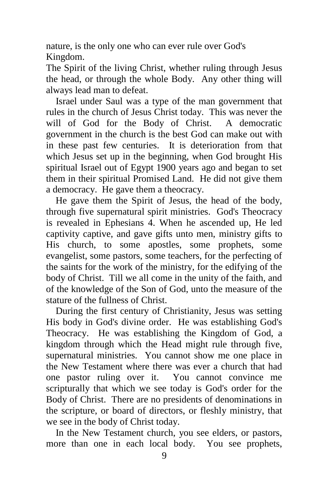nature, is the only one who can ever rule over God's Kingdom.

The Spirit of the living Christ, whether ruling through Jesus the head, or through the whole Body. Any other thing will always lead man to defeat.

 Israel under Saul was a type of the man government that rules in the church of Jesus Christ today. This was never the will of God for the Body of Christ. A democratic government in the church is the best God can make out with in these past few centuries. It is deterioration from that which Jesus set up in the beginning, when God brought His spiritual Israel out of Egypt 1900 years ago and began to set them in their spiritual Promised Land. He did not give them a democracy. He gave them a theocracy.

 He gave them the Spirit of Jesus, the head of the body, through five supernatural spirit ministries. God's Theocracy is revealed in Ephesians 4. When he ascended up, He led captivity captive, and gave gifts unto men, ministry gifts to His church, to some apostles, some prophets, some evangelist, some pastors, some teachers, for the perfecting of the saints for the work of the ministry, for the edifying of the body of Christ. Till we all come in the unity of the faith, and of the knowledge of the Son of God, unto the measure of the stature of the fullness of Christ.

 During the first century of Christianity, Jesus was setting His body in God's divine order. He was establishing God's Theocracy. He was establishing the Kingdom of God, a kingdom through which the Head might rule through five, supernatural ministries. You cannot show me one place in the New Testament where there was ever a church that had one pastor ruling over it. You cannot convince me scripturally that which we see today is God's order for the Body of Christ. There are no presidents of denominations in the scripture, or board of directors, or fleshly ministry, that we see in the body of Christ today.

 In the New Testament church, you see elders, or pastors, more than one in each local body. You see prophets,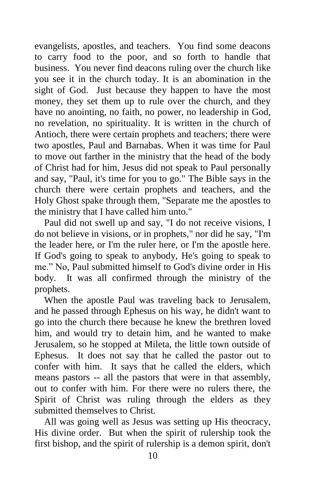evangelists, apostles, and teachers. You find some deacons to carry food to the poor, and so forth to handle that business. You never find deacons ruling over the church like you see it in the church today. It is an abomination in the sight of God. Just because they happen to have the most money, they set them up to rule over the church, and they have no anointing, no faith, no power, no leadership in God, no revelation, no spirituality. It is written in the church of Antioch, there were certain prophets and teachers; there were two apostles, Paul and Barnabas. When it was time for Paul to move out farther in the ministry that the head of the body of Christ had for him, Jesus did not speak to Paul personally and say, "Paul, it's time for you to go." The Bible says in the church there were certain prophets and teachers, and the Holy Ghost spake through them, "Separate me the apostles to the ministry that I have called him unto."

 Paul did not swell up and say, "I do not receive visions, I do not believe in visions, or in prophets," nor did he say, "I'm the leader here, or I'm the ruler here, or I'm the apostle here. If God's going to speak to anybody, He's going to speak to me." No, Paul submitted himself to God's divine order in His body. It was all confirmed through the ministry of the prophets.

 When the apostle Paul was traveling back to Jerusalem, and he passed through Ephesus on his way, he didn't want to go into the church there because he knew the brethren loved him, and would try to detain him, and he wanted to make Jerusalem, so he stopped at Mileta, the little town outside of Ephesus. It does not say that he called the pastor out to confer with him. It says that he called the elders, which means pastors -- all the pastors that were in that assembly, out to confer with him. For there were no rulers there, the Spirit of Christ was ruling through the elders as they submitted themselves to Christ.

 All was going well as Jesus was setting up His theocracy, His divine order. But when the spirit of rulership took the first bishop, and the spirit of rulership is a demon spirit, don't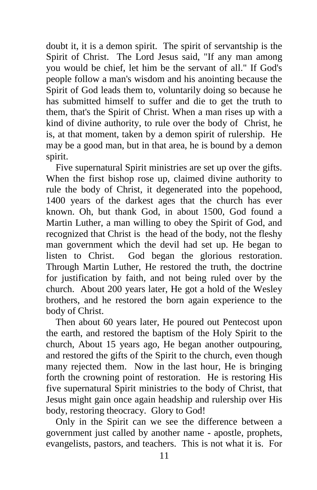doubt it, it is a demon spirit. The spirit of servantship is the Spirit of Christ. The Lord Jesus said, "If any man among you would be chief, let him be the servant of all." If God's people follow a man's wisdom and his anointing because the Spirit of God leads them to, voluntarily doing so because he has submitted himself to suffer and die to get the truth to them, that's the Spirit of Christ. When a man rises up with a kind of divine authority, to rule over the body of Christ, he is, at that moment, taken by a demon spirit of rulership. He may be a good man, but in that area, he is bound by a demon spirit.

 Five supernatural Spirit ministries are set up over the gifts. When the first bishop rose up, claimed divine authority to rule the body of Christ, it degenerated into the popehood, 1400 years of the darkest ages that the church has ever known. Oh, but thank God, in about 1500, God found a Martin Luther, a man willing to obey the Spirit of God, and recognized that Christ is the head of the body, not the fleshy man government which the devil had set up. He began to listen to Christ. God began the glorious restoration. Through Martin Luther, He restored the truth, the doctrine for justification by faith, and not being ruled over by the church. About 200 years later, He got a hold of the Wesley brothers, and he restored the born again experience to the body of Christ.

 Then about 60 years later, He poured out Pentecost upon the earth, and restored the baptism of the Holy Spirit to the church, About 15 years ago, He began another outpouring, and restored the gifts of the Spirit to the church, even though many rejected them. Now in the last hour, He is bringing forth the crowning point of restoration. He is restoring His five supernatural Spirit ministries to the body of Christ, that Jesus might gain once again headship and rulership over His body, restoring theocracy. Glory to God!

 Only in the Spirit can we see the difference between a government just called by another name - apostle, prophets, evangelists, pastors, and teachers. This is not what it is. For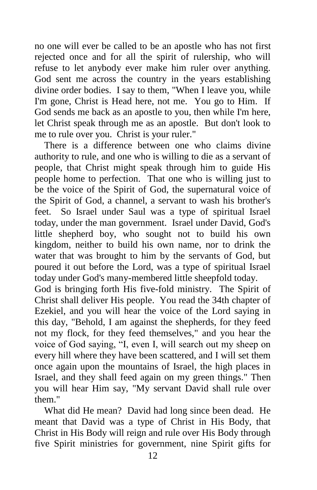no one will ever be called to be an apostle who has not first rejected once and for all the spirit of rulership, who will refuse to let anybody ever make him ruler over anything. God sent me across the country in the years establishing divine order bodies. I say to them, "When I leave you, while I'm gone, Christ is Head here, not me. You go to Him. If God sends me back as an apostle to you, then while I'm here, let Christ speak through me as an apostle. But don't look to me to rule over you. Christ is your ruler."

 There is a difference between one who claims divine authority to rule, and one who is willing to die as a servant of people, that Christ might speak through him to guide His people home to perfection. That one who is willing just to be the voice of the Spirit of God, the supernatural voice of the Spirit of God, a channel, a servant to wash his brother's feet. So Israel under Saul was a type of spiritual Israel today, under the man government. Israel under David, God's little shepherd boy, who sought not to build his own kingdom, neither to build his own name, nor to drink the water that was brought to him by the servants of God, but poured it out before the Lord, was a type of spiritual Israel today under God's many-membered little sheepfold today.

God is bringing forth His five-fold ministry. The Spirit of Christ shall deliver His people. You read the 34th chapter of Ezekiel, and you will hear the voice of the Lord saying in this day, "Behold, I am against the shepherds, for they feed not my flock, for they feed themselves," and you hear the voice of God saying, "I, even I, will search out my sheep on every hill where they have been scattered, and I will set them once again upon the mountains of Israel, the high places in Israel, and they shall feed again on my green things." Then you will hear Him say, "My servant David shall rule over them."

 What did He mean? David had long since been dead. He meant that David was a type of Christ in His Body, that Christ in His Body will reign and rule over His Body through five Spirit ministries for government, nine Spirit gifts for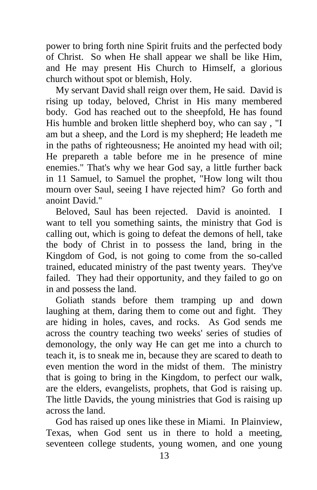power to bring forth nine Spirit fruits and the perfected body of Christ. So when He shall appear we shall be like Him, and He may present His Church to Himself, a glorious church without spot or blemish, Holy.

 My servant David shall reign over them, He said. David is rising up today, beloved, Christ in His many membered body. God has reached out to the sheepfold, He has found His humble and broken little shepherd boy, who can say , "I am but a sheep, and the Lord is my shepherd; He leadeth me in the paths of righteousness; He anointed my head with oil; He prepareth a table before me in he presence of mine enemies." That's why we hear God say, a little further back in 11 Samuel, to Samuel the prophet, "How long wilt thou mourn over Saul, seeing I have rejected him? Go forth and anoint David."

 Beloved, Saul has been rejected. David is anointed. I want to tell you something saints, the ministry that God is calling out, which is going to defeat the demons of hell, take the body of Christ in to possess the land, bring in the Kingdom of God, is not going to come from the so-called trained, educated ministry of the past twenty years. They've failed. They had their opportunity, and they failed to go on in and possess the land.

 Goliath stands before them tramping up and down laughing at them, daring them to come out and fight. They are hiding in holes, caves, and rocks. As God sends me across the country teaching two weeks' series of studies of demonology, the only way He can get me into a church to teach it, is to sneak me in, because they are scared to death to even mention the word in the midst of them. The ministry that is going to bring in the Kingdom, to perfect our walk, are the elders, evangelists, prophets, that God is raising up. The little Davids, the young ministries that God is raising up across the land.

 God has raised up ones like these in Miami. In Plainview, Texas, when God sent us in there to hold a meeting, seventeen college students, young women, and one young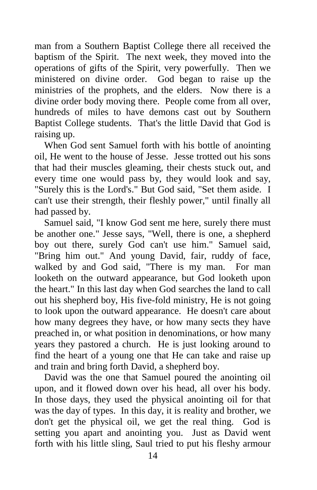man from a Southern Baptist College there all received the baptism of the Spirit. The next week, they moved into the operations of gifts of the Spirit, very powerfully. Then we ministered on divine order. God began to raise up the ministries of the prophets, and the elders. Now there is a divine order body moving there. People come from all over, hundreds of miles to have demons cast out by Southern Baptist College students. That's the little David that God is raising up.

 When God sent Samuel forth with his bottle of anointing oil, He went to the house of Jesse. Jesse trotted out his sons that had their muscles gleaming, their chests stuck out, and every time one would pass by, they would look and say, "Surely this is the Lord's." But God said, "Set them aside. I can't use their strength, their fleshly power," until finally all had passed by.

 Samuel said, "I know God sent me here, surely there must be another one." Jesse says, "Well, there is one, a shepherd boy out there, surely God can't use him." Samuel said, "Bring him out." And young David, fair, ruddy of face, walked by and God said, "There is my man. For man looketh on the outward appearance, but God looketh upon the heart." In this last day when God searches the land to call out his shepherd boy, His five-fold ministry, He is not going to look upon the outward appearance. He doesn't care about how many degrees they have, or how many sects they have preached in, or what position in denominations, or how many years they pastored a church. He is just looking around to find the heart of a young one that He can take and raise up and train and bring forth David, a shepherd boy.

 David was the one that Samuel poured the anointing oil upon, and it flowed down over his head, all over his body. In those days, they used the physical anointing oil for that was the day of types. In this day, it is reality and brother, we don't get the physical oil, we get the real thing. God is setting you apart and anointing you. Just as David went forth with his little sling, Saul tried to put his fleshy armour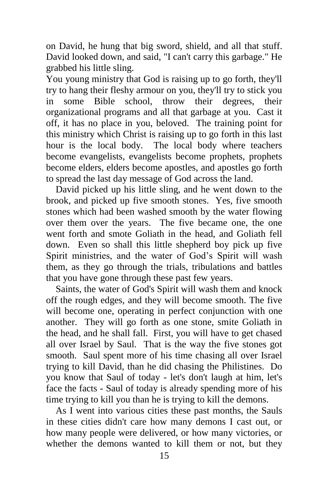on David, he hung that big sword, shield, and all that stuff. David looked down, and said, "I can't carry this garbage." He grabbed his little sling.

You young ministry that God is raising up to go forth, they'll try to hang their fleshy armour on you, they'll try to stick you in some Bible school, throw their degrees, their organizational programs and all that garbage at you. Cast it off, it has no place in you, beloved. The training point for this ministry which Christ is raising up to go forth in this last hour is the local body. The local body where teachers become evangelists, evangelists become prophets, prophets become elders, elders become apostles, and apostles go forth to spread the last day message of God across the land.

 David picked up his little sling, and he went down to the brook, and picked up five smooth stones. Yes, five smooth stones which had been washed smooth by the water flowing over them over the years. The five became one, the one went forth and smote Goliath in the head, and Goliath fell down. Even so shall this little shepherd boy pick up five Spirit ministries, and the water of God's Spirit will wash them, as they go through the trials, tribulations and battles that you have gone through these past few years.

 Saints, the water of God's Spirit will wash them and knock off the rough edges, and they will become smooth. The five will become one, operating in perfect conjunction with one another. They will go forth as one stone, smite Goliath in the head, and he shall fall. First, you will have to get chased all over Israel by Saul. That is the way the five stones got smooth. Saul spent more of his time chasing all over Israel trying to kill David, than he did chasing the Philistines. Do you know that Saul of today - let's don't laugh at him, let's face the facts - Saul of today is already spending more of his time trying to kill you than he is trying to kill the demons.

 As I went into various cities these past months, the Sauls in these cities didn't care how many demons I cast out, or how many people were delivered, or how many victories, or whether the demons wanted to kill them or not, but they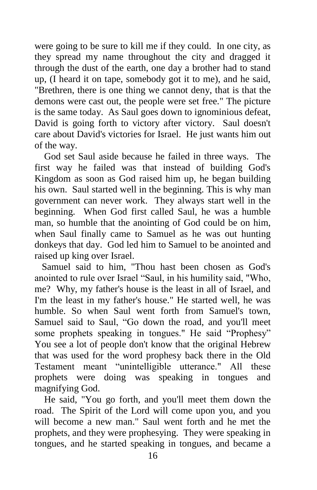were going to be sure to kill me if they could. In one city, as they spread my name throughout the city and dragged it through the dust of the earth, one day a brother had to stand up, (I heard it on tape, somebody got it to me), and he said, "Brethren, there is one thing we cannot deny, that is that the demons were cast out, the people were set free." The picture is the same today. As Saul goes down to ignominious defeat, David is going forth to victory after victory. Saul doesn't care about David's victories for Israel. He just wants him out of the way.

 God set Saul aside because he failed in three ways. The first way he failed was that instead of building God's Kingdom as soon as God raised him up, he began building his own. Saul started well in the beginning. This is why man government can never work. They always start well in the beginning. When God first called Saul, he was a humble man, so humble that the anointing of God could be on him, when Saul finally came to Samuel as he was out hunting donkeys that day. God led him to Samuel to be anointed and raised up king over Israel.

 Samuel said to him, "Thou hast been chosen as God's anointed to rule over Israel "Saul, in his humility said, "Who, me? Why, my father's house is the least in all of Israel, and I'm the least in my father's house." He started well, he was humble. So when Saul went forth from Samuel's town, Samuel said to Saul, "Go down the road, and you'll meet some prophets speaking in tongues." He said "Prophesy" You see a lot of people don't know that the original Hebrew that was used for the word prophesy back there in the Old Testament meant "unintelligible utterance." All these prophets were doing was speaking in tongues and magnifying God.

 He said, "You go forth, and you'll meet them down the road. The Spirit of the Lord will come upon you, and you will become a new man." Saul went forth and he met the prophets, and they were prophesying. They were speaking in tongues, and he started speaking in tongues, and became a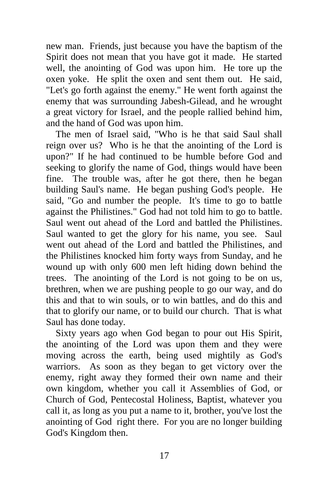new man. Friends, just because you have the baptism of the Spirit does not mean that you have got it made. He started well, the anointing of God was upon him. He tore up the oxen yoke. He split the oxen and sent them out. He said, "Let's go forth against the enemy." He went forth against the enemy that was surrounding Jabesh-Gilead, and he wrought a great victory for Israel, and the people rallied behind him, and the hand of God was upon him.

 The men of Israel said, "Who is he that said Saul shall reign over us? Who is he that the anointing of the Lord is upon?" If he had continued to be humble before God and seeking to glorify the name of God, things would have been fine. The trouble was, after he got there, then he began building Saul's name. He began pushing God's people. He said, "Go and number the people. It's time to go to battle against the Philistines." God had not told him to go to battle. Saul went out ahead of the Lord and battled the Philistines. Saul wanted to get the glory for his name, you see. Saul went out ahead of the Lord and battled the Philistines, and the Philistines knocked him forty ways from Sunday, and he wound up with only 600 men left hiding down behind the trees. The anointing of the Lord is not going to be on us, brethren, when we are pushing people to go our way, and do this and that to win souls, or to win battles, and do this and that to glorify our name, or to build our church. That is what Saul has done today.

 Sixty years ago when God began to pour out His Spirit, the anointing of the Lord was upon them and they were moving across the earth, being used mightily as God's warriors. As soon as they began to get victory over the enemy, right away they formed their own name and their own kingdom, whether you call it Assemblies of God, or Church of God, Pentecostal Holiness, Baptist, whatever you call it, as long as you put a name to it, brother, you've lost the anointing of God right there. For you are no longer building God's Kingdom then.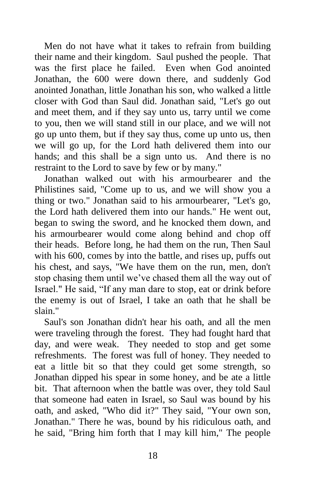Men do not have what it takes to refrain from building their name and their kingdom. Saul pushed the people. That was the first place he failed. Even when God anointed Jonathan, the 600 were down there, and suddenly God anointed Jonathan, little Jonathan his son, who walked a little closer with God than Saul did. Jonathan said, "Let's go out and meet them, and if they say unto us, tarry until we come to you, then we will stand still in our place, and we will not go up unto them, but if they say thus, come up unto us, then we will go up, for the Lord hath delivered them into our hands; and this shall be a sign unto us. And there is no restraint to the Lord to save by few or by many."

 Jonathan walked out with his armourbearer and the Philistines said, "Come up to us, and we will show you a thing or two." Jonathan said to his armourbearer, "Let's go, the Lord hath delivered them into our hands." He went out, began to swing the sword, and he knocked them down, and his armourbearer would come along behind and chop off their heads. Before long, he had them on the run, Then Saul with his 600, comes by into the battle, and rises up, puffs out his chest, and says, "We have them on the run, men, don't stop chasing them until we've chased them all the way out of Israel." He said, "If any man dare to stop, eat or drink before the enemy is out of Israel, I take an oath that he shall be slain."

 Saul's son Jonathan didn't hear his oath, and all the men were traveling through the forest. They had fought hard that day, and were weak. They needed to stop and get some refreshments. The forest was full of honey. They needed to eat a little bit so that they could get some strength, so Jonathan dipped his spear in some honey, and be ate a little bit. That afternoon when the battle was over, they told Saul that someone had eaten in Israel, so Saul was bound by his oath, and asked, "Who did it?" They said, "Your own son, Jonathan." There he was, bound by his ridiculous oath, and he said, "Bring him forth that I may kill him," The people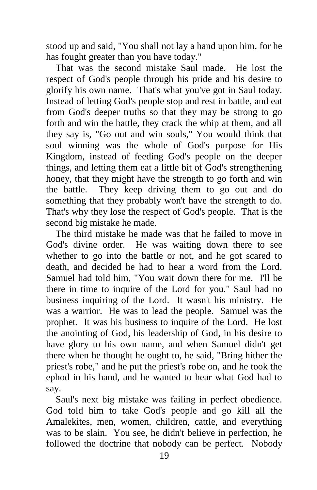stood up and said, "You shall not lay a hand upon him, for he has fought greater than you have today."

 That was the second mistake Saul made. He lost the respect of God's people through his pride and his desire to glorify his own name. That's what you've got in Saul today. Instead of letting God's people stop and rest in battle, and eat from God's deeper truths so that they may be strong to go forth and win the battle, they crack the whip at them, and all they say is, "Go out and win souls," You would think that soul winning was the whole of God's purpose for His Kingdom, instead of feeding God's people on the deeper things, and letting them eat a little bit of God's strengthening honey, that they might have the strength to go forth and win the battle. They keep driving them to go out and do something that they probably won't have the strength to do. That's why they lose the respect of God's people. That is the second big mistake he made.

 The third mistake he made was that he failed to move in God's divine order. He was waiting down there to see whether to go into the battle or not, and he got scared to death, and decided he had to hear a word from the Lord. Samuel had told him, "You wait down there for me. I'll be there in time to inquire of the Lord for you." Saul had no business inquiring of the Lord. It wasn't his ministry. He was a warrior. He was to lead the people. Samuel was the prophet. It was his business to inquire of the Lord. He lost the anointing of God, his leadership of God, in his desire to have glory to his own name, and when Samuel didn't get there when he thought he ought to, he said, "Bring hither the priest's robe," and he put the priest's robe on, and he took the ephod in his hand, and he wanted to hear what God had to say.

 Saul's next big mistake was failing in perfect obedience. God told him to take God's people and go kill all the Amalekites, men, women, children, cattle, and everything was to be slain. You see, he didn't believe in perfection, he followed the doctrine that nobody can be perfect. Nobody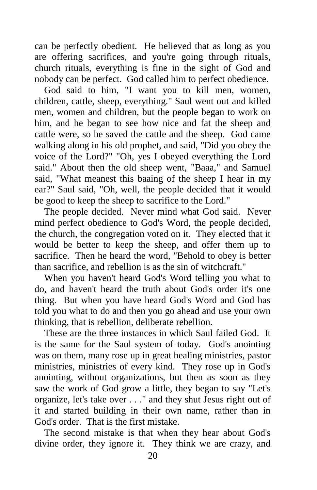can be perfectly obedient. He believed that as long as you are offering sacrifices, and you're going through rituals, church rituals, everything is fine in the sight of God and nobody can be perfect. God called him to perfect obedience.

God said to him, "I want you to kill men, women, children, cattle, sheep, everything." Saul went out and killed men, women and children, but the people began to work on him, and he began to see how nice and fat the sheep and cattle were, so he saved the cattle and the sheep. God came walking along in his old prophet, and said, "Did you obey the voice of the Lord?" "Oh, yes I obeyed everything the Lord said." About then the old sheep went, "Baaa," and Samuel said, "What meanest this baaing of the sheep I hear in my ear?" Saul said, "Oh, well, the people decided that it would be good to keep the sheep to sacrifice to the Lord."

 The people decided. Never mind what God said. Never mind perfect obedience to God's Word, the people decided, the church, the congregation voted on it. They elected that it would be better to keep the sheep, and offer them up to sacrifice. Then he heard the word, "Behold to obey is better than sacrifice, and rebellion is as the sin of witchcraft."

 When you haven't heard God's Word telling you what to do, and haven't heard the truth about God's order it's one thing. But when you have heard God's Word and God has told you what to do and then you go ahead and use your own thinking, that is rebellion, deliberate rebellion.

 These are the three instances in which Saul failed God. It is the same for the Saul system of today. God's anointing was on them, many rose up in great healing ministries, pastor ministries, ministries of every kind. They rose up in God's anointing, without organizations, but then as soon as they saw the work of God grow a little, they began to say "Let's organize, let's take over . . ." and they shut Jesus right out of it and started building in their own name, rather than in God's order. That is the first mistake.

 The second mistake is that when they hear about God's divine order, they ignore it. They think we are crazy, and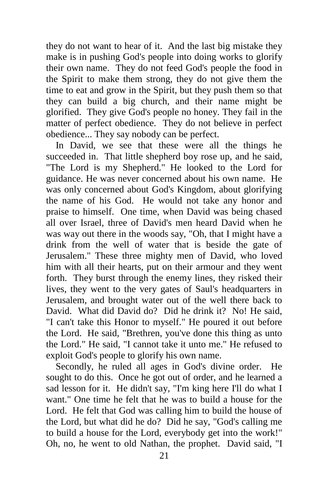they do not want to hear of it. And the last big mistake they make is in pushing God's people into doing works to glorify their own name. They do not feed God's people the food in the Spirit to make them strong, they do not give them the time to eat and grow in the Spirit, but they push them so that they can build a big church, and their name might be glorified. They give God's people no honey. They fail in the matter of perfect obedience. They do not believe in perfect obedience... They say nobody can be perfect.

 In David, we see that these were all the things he succeeded in. That little shepherd boy rose up, and he said, "The Lord is my Shepherd." He looked to the Lord for guidance. He was never concerned about his own name. He was only concerned about God's Kingdom, about glorifying the name of his God. He would not take any honor and praise to himself. One time, when David was being chased all over Israel, three of David's men heard David when he was way out there in the woods say, "Oh, that I might have a drink from the well of water that is beside the gate of Jerusalem." These three mighty men of David, who loved him with all their hearts, put on their armour and they went forth. They burst through the enemy lines, they risked their lives, they went to the very gates of Saul's headquarters in Jerusalem, and brought water out of the well there back to David. What did David do? Did he drink it? No! He said, "I can't take this Honor to myself." He poured it out before the Lord. He said, "Brethren, you've done this thing as unto the Lord." He said, "I cannot take it unto me." He refused to exploit God's people to glorify his own name.

 Secondly, he ruled all ages in God's divine order. He sought to do this. Once he got out of order, and he learned a sad lesson for it. He didn't say, "I'm king here I'll do what I want." One time he felt that he was to build a house for the Lord. He felt that God was calling him to build the house of the Lord, but what did he do? Did he say, "God's calling me to build a house for the Lord, everybody get into the work!" Oh, no, he went to old Nathan, the prophet. David said, "I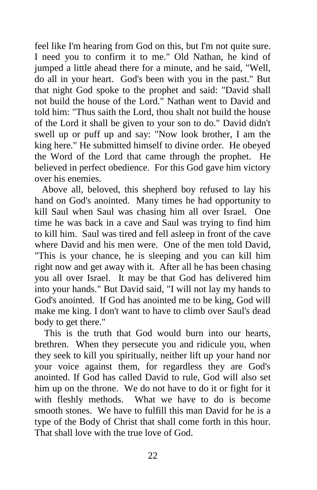feel like I'm hearing from God on this, but I'm not quite sure. I need you to confirm it to me." Old Nathan, he kind of jumped a little ahead there for a minute, and he said, "Well, do all in your heart. God's been with you in the past." But that night God spoke to the prophet and said: "David shall not build the house of the Lord." Nathan went to David and told him: "Thus saith the Lord, thou shalt not build the house of the Lord it shall be given to your son to do." David didn't swell up or puff up and say: "Now look brother, I am the king here." He submitted himself to divine order. He obeyed the Word of the Lord that came through the prophet. He believed in perfect obedience. For this God gave him victory over his enemies.

 Above all, beloved, this shepherd boy refused to lay his hand on God's anointed. Many times he had opportunity to kill Saul when Saul was chasing him all over Israel. One time he was back in a cave and Saul was trying to find him to kill him. Saul was tired and fell asleep in front of the cave where David and his men were. One of the men told David, "This is your chance, he is sleeping and you can kill him right now and get away with it. After all he has been chasing you all over Israel. It may be that God has delivered him into your hands." But David said, "I will not lay my hands to God's anointed. If God has anointed me to be king, God will make me king. I don't want to have to climb over Saul's dead body to get there."

 This is the truth that God would burn into our hearts, brethren. When they persecute you and ridicule you, when they seek to kill you spiritually, neither lift up your hand nor your voice against them, for regardless they are God's anointed. If God has called David to rule, God will also set him up on the throne. We do not have to do it or fight for it with fleshly methods. What we have to do is become smooth stones. We have to fulfill this man David for he is a type of the Body of Christ that shall come forth in this hour. That shall love with the true love of God.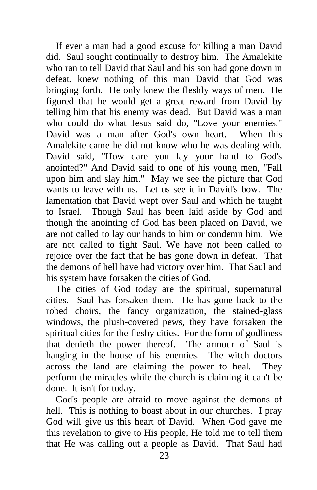If ever a man had a good excuse for killing a man David did. Saul sought continually to destroy him. The Amalekite who ran to tell David that Saul and his son had gone down in defeat, knew nothing of this man David that God was bringing forth. He only knew the fleshly ways of men. He figured that he would get a great reward from David by telling him that his enemy was dead. But David was a man who could do what Jesus said do. "Love your enemies." David was a man after God's own heart. When this Amalekite came he did not know who he was dealing with. David said, "How dare you lay your hand to God's anointed?" And David said to one of his young men, "Fall upon him and slay him." May we see the picture that God wants to leave with us. Let us see it in David's bow. The lamentation that David wept over Saul and which he taught to Israel. Though Saul has been laid aside by God and though the anointing of God has been placed on David, we are not called to lay our hands to him or condemn him. We are not called to fight Saul. We have not been called to rejoice over the fact that he has gone down in defeat. That the demons of hell have had victory over him. That Saul and his system have forsaken the cities of God.

 The cities of God today are the spiritual, supernatural cities. Saul has forsaken them. He has gone back to the robed choirs, the fancy organization, the stained-glass windows, the plush-covered pews, they have forsaken the spiritual cities for the fleshy cities. For the form of godliness that denieth the power thereof. The armour of Saul is hanging in the house of his enemies. The witch doctors across the land are claiming the power to heal. They perform the miracles while the church is claiming it can't be done. It isn't for today.

 God's people are afraid to move against the demons of hell. This is nothing to boast about in our churches. I pray God will give us this heart of David. When God gave me this revelation to give to His people, He told me to tell them that He was calling out a people as David. That Saul had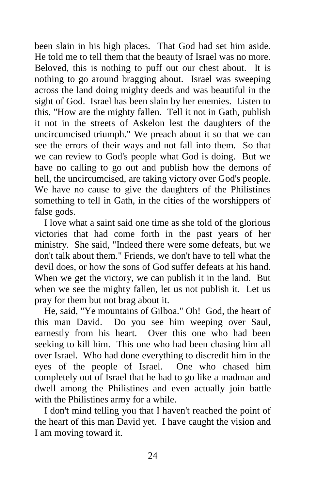been slain in his high places. That God had set him aside. He told me to tell them that the beauty of Israel was no more. Beloved, this is nothing to puff out our chest about. It is nothing to go around bragging about. Israel was sweeping across the land doing mighty deeds and was beautiful in the sight of God. Israel has been slain by her enemies. Listen to this, "How are the mighty fallen. Tell it not in Gath, publish it not in the streets of Askelon lest the daughters of the uncircumcised triumph." We preach about it so that we can see the errors of their ways and not fall into them. So that we can review to God's people what God is doing. But we have no calling to go out and publish how the demons of hell, the uncircumcised, are taking victory over God's people. We have no cause to give the daughters of the Philistines something to tell in Gath, in the cities of the worshippers of false gods.

 I love what a saint said one time as she told of the glorious victories that had come forth in the past years of her ministry. She said, "Indeed there were some defeats, but we don't talk about them." Friends, we don't have to tell what the devil does, or how the sons of God suffer defeats at his hand. When we get the victory, we can publish it in the land. But when we see the mighty fallen, let us not publish it. Let us pray for them but not brag about it.

 He, said, "Ye mountains of Gilboa." Oh! God, the heart of this man David. Do you see him weeping over Saul, earnestly from his heart. Over this one who had been seeking to kill him. This one who had been chasing him all over Israel. Who had done everything to discredit him in the eyes of the people of Israel. One who chased him completely out of Israel that he had to go like a madman and dwell among the Philistines and even actually join battle with the Philistines army for a while.

 I don't mind telling you that I haven't reached the point of the heart of this man David yet. I have caught the vision and I am moving toward it.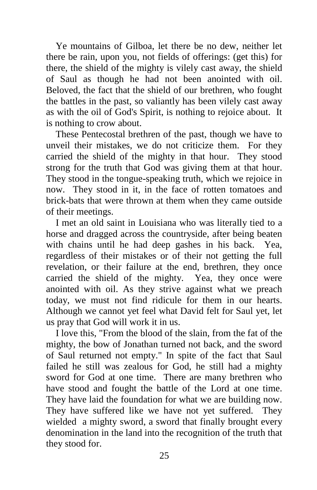Ye mountains of Gilboa, let there be no dew, neither let there be rain, upon you, not fields of offerings: (get this) for there, the shield of the mighty is vilely cast away, the shield of Saul as though he had not been anointed with oil. Beloved, the fact that the shield of our brethren, who fought the battles in the past, so valiantly has been vilely cast away as with the oil of God's Spirit, is nothing to rejoice about. It is nothing to crow about.

 These Pentecostal brethren of the past, though we have to unveil their mistakes, we do not criticize them. For they carried the shield of the mighty in that hour. They stood strong for the truth that God was giving them at that hour. They stood in the tongue-speaking truth, which we rejoice in now. They stood in it, in the face of rotten tomatoes and brick-bats that were thrown at them when they came outside of their meetings.

 I met an old saint in Louisiana who was literally tied to a horse and dragged across the countryside, after being beaten with chains until he had deep gashes in his back. Yea, regardless of their mistakes or of their not getting the full revelation, or their failure at the end, brethren, they once carried the shield of the mighty. Yea, they once were anointed with oil. As they strive against what we preach today, we must not find ridicule for them in our hearts. Although we cannot yet feel what David felt for Saul yet, let us pray that God will work it in us.

 I love this, "From the blood of the slain, from the fat of the mighty, the bow of Jonathan turned not back, and the sword of Saul returned not empty." In spite of the fact that Saul failed he still was zealous for God, he still had a mighty sword for God at one time. There are many brethren who have stood and fought the battle of the Lord at one time. They have laid the foundation for what we are building now. They have suffered like we have not yet suffered. They wielded a mighty sword, a sword that finally brought every denomination in the land into the recognition of the truth that they stood for.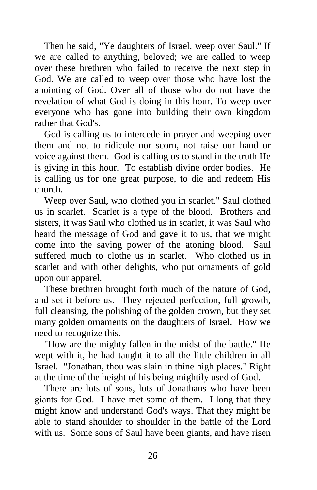Then he said, "Ye daughters of Israel, weep over Saul." If we are called to anything, beloved; we are called to weep over these brethren who failed to receive the next step in God. We are called to weep over those who have lost the anointing of God. Over all of those who do not have the revelation of what God is doing in this hour. To weep over everyone who has gone into building their own kingdom rather that God's.

 God is calling us to intercede in prayer and weeping over them and not to ridicule nor scorn, not raise our hand or voice against them. God is calling us to stand in the truth He is giving in this hour. To establish divine order bodies. He is calling us for one great purpose, to die and redeem His church.

 Weep over Saul, who clothed you in scarlet." Saul clothed us in scarlet. Scarlet is a type of the blood. Brothers and sisters, it was Saul who clothed us in scarlet, it was Saul who heard the message of God and gave it to us, that we might come into the saving power of the atoning blood. Saul suffered much to clothe us in scarlet. Who clothed us in scarlet and with other delights, who put ornaments of gold upon our apparel.

 These brethren brought forth much of the nature of God, and set it before us. They rejected perfection, full growth, full cleansing, the polishing of the golden crown, but they set many golden ornaments on the daughters of Israel. How we need to recognize this.

 "How are the mighty fallen in the midst of the battle." He wept with it, he had taught it to all the little children in all Israel. "Jonathan, thou was slain in thine high places." Right at the time of the height of his being mightily used of God.

 There are lots of sons, lots of Jonathans who have been giants for God. I have met some of them. I long that they might know and understand God's ways. That they might be able to stand shoulder to shoulder in the battle of the Lord with us. Some sons of Saul have been giants, and have risen